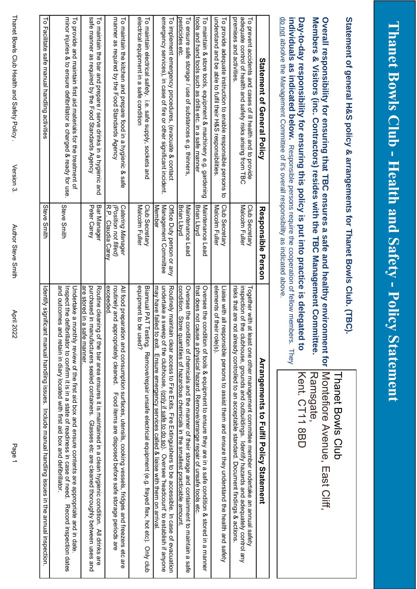|                                         | )<br> <br>        |
|-----------------------------------------|-------------------|
|                                         |                   |
|                                         |                   |
|                                         |                   |
|                                         |                   |
|                                         | THUNK!            |
|                                         |                   |
|                                         |                   |
|                                         |                   |
|                                         |                   |
|                                         |                   |
|                                         |                   |
|                                         |                   |
|                                         |                   |
|                                         |                   |
|                                         |                   |
|                                         |                   |
|                                         |                   |
|                                         |                   |
|                                         |                   |
|                                         |                   |
| THAIR DOWN CIUD THRAIP TRAIN SHARE TOIL |                   |
|                                         |                   |
|                                         |                   |
|                                         |                   |
|                                         |                   |
|                                         |                   |
|                                         |                   |
|                                         |                   |
|                                         | <b>ELLE SHALL</b> |
|                                         |                   |
|                                         |                   |
|                                         |                   |
|                                         |                   |
|                                         |                   |
|                                         |                   |
|                                         |                   |
|                                         |                   |
|                                         |                   |
|                                         |                   |
|                                         |                   |
|                                         |                   |
|                                         |                   |
|                                         |                   |
|                                         |                   |
|                                         |                   |
|                                         |                   |
|                                         |                   |
|                                         |                   |
|                                         |                   |
|                                         |                   |
|                                         |                   |
|                                         |                   |
|                                         |                   |
|                                         |                   |
|                                         |                   |
|                                         |                   |
|                                         |                   |
| <b>CONVENTION CONTRACTOR</b>            |                   |
|                                         |                   |
|                                         |                   |
|                                         |                   |
|                                         |                   |
|                                         |                   |
|                                         |                   |
|                                         |                   |

**Statement of general H&S policy & arrangements for Thanet Bowls Club. (TBC).**

Statement of general H&S policy & arrangements for Thanet Bowls Club. (TBC).

Thanet Bowls Club

Thanet Bowls Club

| do not absolve the Management Committee of it's overall responsibility as indicated above<br>individuals as in dicorded behind to a determination occupation is the second paragement of the cooperation of the second periodic state of periodic state of periodic state of periodic state of periodic state of periodic s<br>Members & Visitors (inc. Contractors) resides with the TBC Management Co<br>Day-to-day responsibility for ensuring this policy is put into practice is dele-<br>Overall responsibility for ensuring that TBC ensures a sate and healthy environment for [Montefiore Avenue, East Cliff, |                                                                    | gated to<br>mmittee.                              | Ramsgate,<br>Kent. CT11 8BD                                                                                                                                                                                                                                                                                    |
|------------------------------------------------------------------------------------------------------------------------------------------------------------------------------------------------------------------------------------------------------------------------------------------------------------------------------------------------------------------------------------------------------------------------------------------------------------------------------------------------------------------------------------------------------------------------------------------------------------------------|--------------------------------------------------------------------|---------------------------------------------------|----------------------------------------------------------------------------------------------------------------------------------------------------------------------------------------------------------------------------------------------------------------------------------------------------------------|
| Statement of General Policy                                                                                                                                                                                                                                                                                                                                                                                                                                                                                                                                                                                            | Responsible<br>Person                                              |                                                   | Arrangements to Hulfil Policy Statement                                                                                                                                                                                                                                                                        |
| premises and activities<br>adequate control of health and safety risks arising from TBC<br>To prevent accidents and cases of ill health and to provide                                                                                                                                                                                                                                                                                                                                                                                                                                                                 | Malcolm Fuller<br>Club Secretary                                   | inspection of                                     | risks that are not already controlled to an acceptable standard. Document findings & actions<br>Together with at least one other management committee member undertake an annual safety<br>ithe clubhouse, grounds and outbuildings. Identify hazards and adequately control any                               |
| understand and be able to fulfil their H&S responsibilities<br>To provide adequate instruction to enable responsible persons<br>ಕ                                                                                                                                                                                                                                                                                                                                                                                                                                                                                      | Malcolm Fuller<br>Club Secretary                                   | elements of<br>Liaise with a<br>their role(s).    | I realth persons to assist then and ensure they understand the health and safety                                                                                                                                                                                                                               |
| tools and hand tools such as drills etc. in a safe manner<br>To maintain & store tools, equipment & machinery e.g. gardening                                                                                                                                                                                                                                                                                                                                                                                                                                                                                           | Maintenance Lead<br><b>Brian Lloyd</b>                             | Oversee the                                       | that does not cause a physical hazard. Remove/arrange repair of unsafe tools etc.<br>condition of tools & equipment to ensure they alge in a state conditional state in a manular                                                                                                                              |
| pesticides etc<br>To ensure safe storage / use of substances e.g. thinners                                                                                                                                                                                                                                                                                                                                                                                                                                                                                                                                             | <b>Maintenance</b><br>Brian Lloyd<br>Lead                          | Oversee the                                       | condition. Store quantities of hazardous chemicals in the smallest practicable amount.<br>condition of chemicals and the manner of their storage and containment to maintain a safe                                                                                                                            |
| emergency services), in case of fire or other significant incident.<br>To implement emergency procedures, (evacuate & contact                                                                                                                                                                                                                                                                                                                                                                                                                                                                                          | Management Committee<br><b>Member</b><br>Office Duty person or any | undertake a                                       | Routinery maintain clear access to Tire Exits. Trie Extinguishers to be accessible. In case of exaculation<br>may have failed to exit. Ensure emergency services called & liaise with them on arrival.<br>sweep of the clubhouse, ( <u>only if safe to do so</u> ). Oversee 'headcount' to establish if anyone |
| electrical equipment in a safe condition<br>To maintain electrical safety. i.e. safe supply, sockets and                                                                                                                                                                                                                                                                                                                                                                                                                                                                                                               | Malcolm Fuller<br>Club Secretary                                   | equipment to be used?                             | Biannual PAT Testing. Remove/repair unsafe electrical equipment (e.g. frayed flex, hot etc). Only club                                                                                                                                                                                                         |
| manner as required by the Food Standards Agency<br>To maintain the kitchen and prepare food in a hygienic & safe                                                                                                                                                                                                                                                                                                                                                                                                                                                                                                       | R.P. Claudia Carey<br>Catering Manager<br>Position not filled)     | exceeded.<br>routinely and appropriately cleaned. | All food preparation and consumption surfaces, utensils, cooking vessels, fridges and freezers etc are<br>Food items are disposed before safe storage periods are                                                                                                                                              |
| safe manner as required by the Food Standards Agency<br>To maintain the bar and prepare / serve drinks in a hygienic and                                                                                                                                                                                                                                                                                                                                                                                                                                                                                               | Peter Carey<br>Bar Manager                                         | are stored in<br>a sate manner.                   | purchased in manufacturers sealed containers. Glasses etc are cleaned thoroughly between uses and<br>Routine cleaning of the bar area ensures it is maintained in a clean hygienic condition. All drinks are                                                                                                   |
| minor injuries & to ensure defibrillator is charged & ready for use<br>To provide and maintain first aid materials for the treatment of                                                                                                                                                                                                                                                                                                                                                                                                                                                                                | Steve Smith                                                        | Undertake a                                       | and octornes and retain in diary located xith flirst aid box and deflicilation.<br>Inspect the defibrilator to confirm it is in a state of readiness in case of need.<br>monthly review of the first aid box and ensure contents are appropriate and in date<br>Record inspection dates                        |
| To Facilitate sate mandling activities                                                                                                                                                                                                                                                                                                                                                                                                                                                                                                                                                                                 | Steve Smith                                                        |                                                   | Identification is about the annual parally issues. Suppose in the annual hadiling issues in the annual inspection is                                                                                                                                                                                           |

Author Steve Smith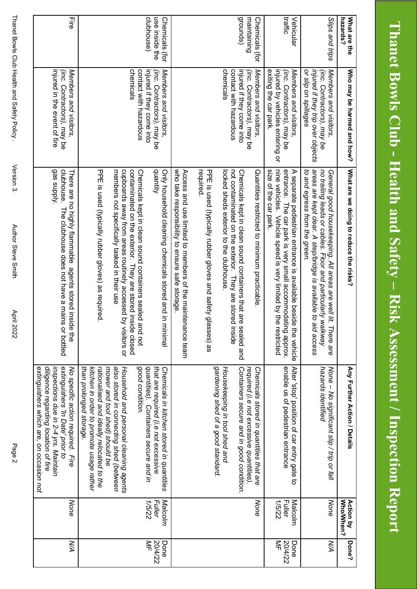| What are the<br><b>hazards?</b>                | Who may be harmed and how?                                                                                      | What are we doing to reduce the risks?                                                                                                                                                                                              | Any Further Action / Details                                                                                                                                                                      | Who/When?<br><b>Action by</b>      | <b>Done?</b>         |
|------------------------------------------------|-----------------------------------------------------------------------------------------------------------------|-------------------------------------------------------------------------------------------------------------------------------------------------------------------------------------------------------------------------------------|---------------------------------------------------------------------------------------------------------------------------------------------------------------------------------------------------|------------------------------------|----------------------|
| Slips and trips                                | injured if they trip over objects<br>Members and visitors<br>or slip on spillages<br>(inc. Contractors), may be | areas are kept clear. A step/bridge is available to<br>to and egress from the green.<br>no trailing leads or cables. Floor and particularly<br>General good housekeeping. All areas are well lit. There are<br>увилау<br>aid access | None – No significant slip / trip or fall<br>hazards identified                                                                                                                                   | None                               | ŽА                   |
| traffic<br>Vehicular                           | Members and visitors<br>exiting the car park.<br>injured by vehicles entering or<br>(inc. Contractors), may be  | nine vehicles. Vehicle speed is very limited by the restricted<br>size of the car park.<br>entrance. The car park is very small accommodating approx.<br>A separate pedestrian entrance is available beside the vehicle             | enable us of pedestrian entrance<br>Alter 'stop' position of car entry gate to                                                                                                                    | Malcolm<br><b>Fuller</b><br>1/5/22 | 즉<br>20/4/22<br>Done |
| drounds)<br>maintaining<br>Chemicals (for      | injured if they come into<br>(inc. Contractors), may be<br>Members and visitors                                 | Chemicals kept in clean sound containers that are sealed and<br>Quantities restricted to minimum practicable                                                                                                                        | Containers secure and in good condition.<br>required (i.e not excessive quantities).<br>Chemicals stored in quantities that are                                                                   | None                               |                      |
|                                                | chemicals<br>contact with hazardous                                                                             | not contaminated on the exterior. They are stored inside<br>locked sheds exterior to the club                                                                                                                                       | gardening shed of a good standard<br>Housekeeping in tool shed and                                                                                                                                |                                    |                      |
|                                                |                                                                                                                 | required.<br>PPE is used (typically rubber gloves and safety g<br>lasses) as                                                                                                                                                        |                                                                                                                                                                                                   |                                    |                      |
|                                                |                                                                                                                 | who take responsibility to ensure safe storage.<br>Access and use limited to members of the maintenance team                                                                                                                        |                                                                                                                                                                                                   |                                    |                      |
| use inside the<br>clubhouse)<br>Chemicals (for | injured if they come into<br>(inc. Contractors), may be<br>Members and visitors,                                | quantity<br>Only household cleaning chemicals stored and in<br><b>Tainima</b>                                                                                                                                                       | quantities). Containers secure and in<br>that are required (i.e not excessive<br>Chemicals in kitchen stored in quantities                                                                        | Malcolm<br><b>Fuller</b><br>1/5/22 | 20/4/22<br>₹<br>Done |
|                                                | chemicals<br>contact with hazardous                                                                             | contaminated on the exterior. They are stored inside closed<br>Chemicals kept in clean sound containers sealed<br>and not                                                                                                           | good condition.                                                                                                                                                                                   |                                    |                      |
|                                                |                                                                                                                 | members not specifically tasked in their use<br>cupboards away from areas routinely accessed by visitors or                                                                                                                         | also stored in connecting shed (between<br>Household and personal cleaning agents<br>mower and tool shed) should be                                                                               |                                    |                      |
|                                                |                                                                                                                 | PPE is used (typically rubber gloves) as required                                                                                                                                                                                   | than prolonged storage.<br>kitchen in order to promote usage rather<br>rationalised and ideally relocated to the                                                                                  |                                    |                      |
| 끟                                              | injured in the event of fire<br>Members and visitors,<br>(inc. Contractors), may be                             | Addns seb<br>clubhouse.<br>There are no highly flammable agents stored inside the<br>The clubhouse does not have a mains or bottled                                                                                                 | diligence regarding location of fire<br>No specific action required. Fire<br>extinguishers which are, on occasion not<br>inspections due in 2-4 yrs. Maintain<br>extinguishers 'In Date' prior to | None                               | ŽА                   |
|                                                |                                                                                                                 |                                                                                                                                                                                                                                     |                                                                                                                                                                                                   |                                    |                      |

Version 3.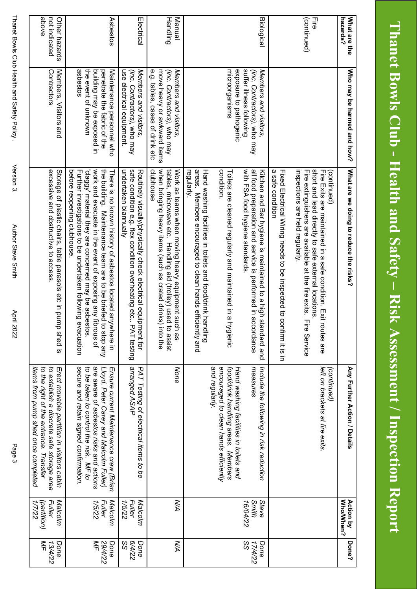| What are the<br>hazards?                | Who may be harmed and how?                                                                                                 | What are we doing to reduce the risks?                                                                                                                                                                                                                                                                                                              | Any Further Action / Details                                                                                                                                                                                    | Who/When?<br><b>Action by</b>                     | <b>Done?</b>          |
|-----------------------------------------|----------------------------------------------------------------------------------------------------------------------------|-----------------------------------------------------------------------------------------------------------------------------------------------------------------------------------------------------------------------------------------------------------------------------------------------------------------------------------------------------|-----------------------------------------------------------------------------------------------------------------------------------------------------------------------------------------------------------------|---------------------------------------------------|-----------------------|
| (continued)<br>긓                        |                                                                                                                            | inspections are held regularly.<br>short and lead directly to safe external locations.<br>Fire extinguishers are available at the fire exits. Fire Service<br>Fire Exits are maintained in a safe condition. Exit<br>(continued)<br>routes are                                                                                                      | left on brackets at fire exits.<br>(continued)                                                                                                                                                                  |                                                   |                       |
|                                         |                                                                                                                            | a safe condition<br>Fixed Electrical Wiring needs to be inspected to confirm it is in                                                                                                                                                                                                                                                               |                                                                                                                                                                                                                 |                                                   |                       |
| <b>Biological</b>                       | suffer illness following<br>(inc. Contractors), who may<br>Members and visitors,                                           | with FSA food hygiene standards.<br>all food preparation and service is performed in accordance<br>Kitchen and Bar hygiene is maintained to a high standard and                                                                                                                                                                                     | Include the following in risk reduction<br>measures                                                                                                                                                             | Steve<br>Smith<br>16/04/22                        | SS<br>17/4/22<br>Done |
|                                         | microorganisms<br>exposure to pathogenic                                                                                   | condition.<br>Toilets are cleaned regularly and maintained in a<br>hygienic                                                                                                                                                                                                                                                                         | encouraged to clean hands efficiently<br>food/drink handling areas. Members<br>Hand washing facilities in toilets and                                                                                           |                                                   |                       |
|                                         |                                                                                                                            | regularly.<br>areas. Members encouraged to clean hands efficiently and<br>Hand washing facilities in toilets and food/drink handling                                                                                                                                                                                                                | and regularly.                                                                                                                                                                                                  |                                                   |                       |
| Handling<br>Manual                      | (inc. Contractors), who may<br>e.g. tables, cases of drink etc<br>move heavy or awkward items<br>Members and visitors,     | clubhouse<br>when bringing heavy items (such as crated drinks) into the<br>Work as teams when moving heavy equipment such as<br>tables, microwave etc. Handling aid (trolley) usec<br>d to assist                                                                                                                                                   | None                                                                                                                                                                                                            | ZД                                                | ŽА                    |
| Electrical                              | (inc. Contractors), who may<br>use electrical equipment.<br>Members and visitors,                                          | safe condition e.g. flex condition overheating etc<br>undertaken biannually<br>Routinely visually/physically check electrical equipment for<br>PAT testing                                                                                                                                                                                          | arranged ASAP<br>PAT Testing of electrical items to be                                                                                                                                                          | Malcolm<br>1/5/22<br><b><i><u>Fuller</u></i></b>  | 84/22<br>Done<br>တွ   |
| Asbestos                                | asbestos<br>the event of unknown<br>building may be exposed in<br>penetrate the fabric of the<br>Maintenance personnel who | work and evacuate in the event of exposing any fibrous of<br>the building. Maintenance team are to be briefed<br>'claggy' material they are concerned may be asbestos.<br>before reopening clubhouse<br>Further investigations to be undertaken following<br>There is no known history of asbestos located anywhere in<br>evacuation<br>to stop any | are aware of asbestos risks and actions<br>secure and retain signed confirmation.<br>to be taken to control the risk. MF to<br>Ensure current Maintenance crew (Brian<br>Lloyd, Peter Carey and Malcolm Fuller) | <b>Fuller</b><br>Malcolm<br>1/5/22                | ₹<br>29/4/22<br>Done  |
| ayode<br>not indicated<br>Other hazards | Contractors<br>Members, Visitors and                                                                                       | excessive and obstructive to access<br>Storage of plastic chairs, table parasols etc in pump shed is                                                                                                                                                                                                                                                | to establish a discrete safe storage area<br>Erect movable partition in visitors cabin<br>to the right of the entrance. Transfer<br>items from pump shed once completed                                         | Malcolm<br><b>Fuller</b><br>(partition)<br>1/7/22 | ₹<br>Done<br>13/4/22  |

Author Steve Smith

Version 3.

**April 2022** 

Page 3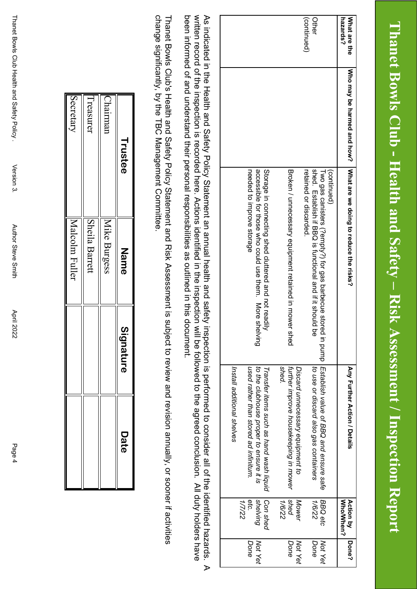## Thanet Bowls Club - Health and Safety - Risk Assessment / Inspection Report **Thanet Bowls Club - Health and Safety – Risk Assessment / Inspection Report**

|                                                                                   |                                                       | <b>Action by</b><br>WhoMMen?                                                                                                                                                                                                                                                                        | Done?       |
|-----------------------------------------------------------------------------------|-------------------------------------------------------|-----------------------------------------------------------------------------------------------------------------------------------------------------------------------------------------------------------------------------------------------------------------------------------------------------|-------------|
| (continued)                                                                       |                                                       | BBQ etc                                                                                                                                                                                                                                                                                             | Not Yet     |
| shed. Establish if BBQ is functional and if it should be<br>retained or discarded | to use or discard also gas containers                 | 79/1                                                                                                                                                                                                                                                                                                | Done        |
|                                                                                   | Discard unnecessary equipment to                      | Mower                                                                                                                                                                                                                                                                                               | Not Yet     |
|                                                                                   | shed                                                  | 7874                                                                                                                                                                                                                                                                                                | Done        |
| Storage in connecting shed cluttered and not read<br>흦                            | Transfer items such as hand wash liquid               | Con shed                                                                                                                                                                                                                                                                                            |             |
| accessible tor those sho could use these. More<br>shelving                        | to the clubhouse proper to ensure it is               | shelving                                                                                                                                                                                                                                                                                            | Not Yet     |
| needed to improve storage                                                         |                                                       | etc.<br>17722                                                                                                                                                                                                                                                                                       | Done        |
|                                                                                   | Install additional shelves                            |                                                                                                                                                                                                                                                                                                     |             |
|                                                                                   | Broken / unnecessary equipment retained in mower shed | Who pray be hat independ and posological system of the sequence the disks.<br>Two gas canisters (?empty?) for gas barbecue stored in pump   Establish value of BBQ and ensure safe<br>further improve housekeeping in mower<br>Any Further Action / Details<br>used rather than stored ad infinitum | <b>shed</b> |

been informed of and understand their personal responsibilities as outlined in this document. written record of the inspection is recorded here. Actions identified in the inspection will be followed to the agreed conclusion. All duty holders have written record of the inspection is recorded here. Actions identified in the inspection will be followed to the agreed conclusion. All duty holders have As indicated in the Health and Safety Policy Statement an annual health and safety inspection is performed to consider all of the identified hazards. As indicated in the Health and Safety Policy Statement an annual health and safety inspection is performed to consider all of the identified hazards. A been informed of and understand their personal responsibilities as outlined in this document.  $\triangleright$ 

change significantly, by the TBC Management Committee Thanet Bowls Club's Health and Safety Policy Statement and Risk Assessment is subject to review and revision annually, or sooner if activities change significantly, by the TBC Management Committee. Thanet Bowls Club's Health and Safety Policy Statement and Risk Assessment is subject to review and revision annually, or sooner if activities

| Trustee   | <b>Name</b>    | <b>Signature</b> | Date |
|-----------|----------------|------------------|------|
| Chairmar  | Mike Burgess   |                  |      |
| Treasurer | Sheila Barrett |                  |      |
| Secretary | Malcolm Fuller |                  |      |